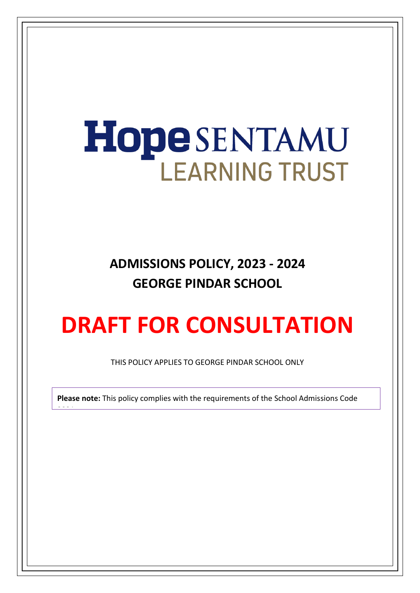# HopeSENTAMU **LEARNING TRUST**

**ADMISSIONS POLICY, 2023 - 2024 GEORGE PINDAR SCHOOL**

# **DRAFT FOR CONSULTATION**

THIS POLICY APPLIES TO GEORGE PINDAR SCHOOL ONLY

**Please note:** This policy complies with the requirements of the School Admissions Code

2021<br>2021 - 2021<br>2021 - 2021 - 2021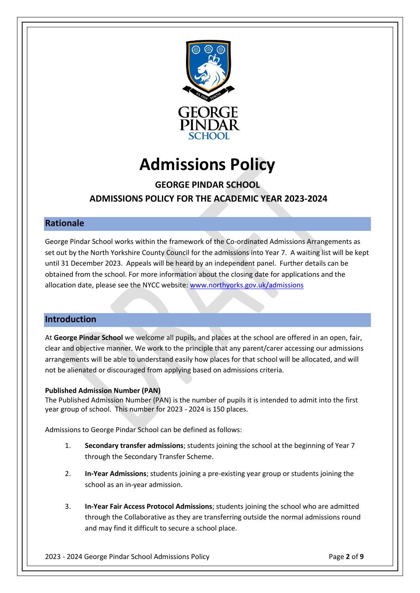

# **Admissions Policy**

# **GEORGE PINDAR SCHOOL ADMISSIONS POLICY FOR THE ACADEMIC YEAR 2023-2024**

# **Rationale**

George Pindar School works within the framework of the Co-ordinated Admissions Arrangements as set out by the North Yorkshire County Council for the admissions into Year 7. A waiting list will be kept until 31 December 2023. Appeals will be heard by an independent panel. Further details can be obtained from the school. For more information about the closing date for applications and the allocation date, please see the NYCC website[: www.northyorks.gov.uk/admissions](http://www.northyorks.gov.uk/admissions)

# **Introduction**

At **George Pindar School** we welcome all pupils, and places at the school are offered in an open, fair, clear and objective manner. We work to the principle that any parent/carer accessing our admissions arrangements will be able to understand easily how places for that school will be allocated, and will not be alienated or discouraged from applying based on admissions criteria.

#### **Published Admission Number (PAN)**

The Published Admission Number (PAN) is the number of pupils it is intended to admit into the first year group of school. This number for 2023 - 2024 is 150 places.

Admissions to George Pindar School can be defined as follows:

- 1. **Secondary transfer admissions**; students joining the school at the beginning of Year 7 through the Secondary Transfer Scheme.
- 2. **In-Year Admissions**; students joining a pre-existing year group or students joining the school as an in-year admission.
- 3. **In-Year Fair Access Protocol Admissions**; students joining the school who are admitted through the Collaborative as they are transferring outside the normal admissions round and may find it difficult to secure a school place.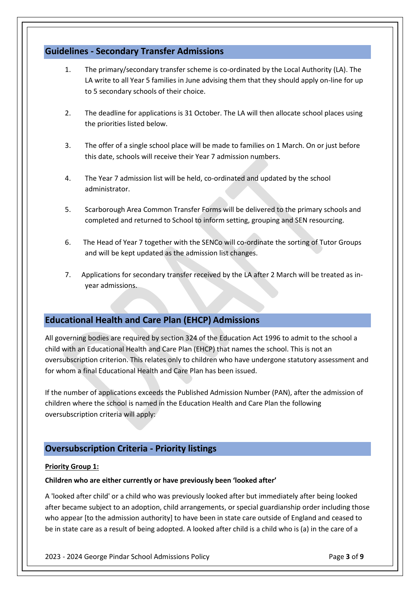# **Guidelines - Secondary Transfer Admissions**

- 1. The primary/secondary transfer scheme is co-ordinated by the Local Authority (LA). The LA write to all Year 5 families in June advising them that they should apply on-line for up to 5 secondary schools of their choice.
- 2. The deadline for applications is 31 October. The LA will then allocate school places using the priorities listed below.
- 3. The offer of a single school place will be made to families on 1 March. On or just before this date, schools will receive their Year 7 admission numbers.
- 4. The Year 7 admission list will be held, co-ordinated and updated by the school administrator.
- 5. Scarborough Area Common Transfer Forms will be delivered to the primary schools and completed and returned to School to inform setting, grouping and SEN resourcing.
- 6. The Head of Year 7 together with the SENCo will co-ordinate the sorting of Tutor Groups and will be kept updated as the admission list changes.
- 7. Applications for secondary transfer received by the LA after 2 March will be treated as inyear admissions.

# **Educational Health and Care Plan (EHCP) Admissions**

All governing bodies are required by section 324 of the Education Act 1996 to admit to the school a child with an Educational Health and Care Plan (EHCP) that names the school. This is not an oversubscription criterion. This relates only to children who have undergone statutory assessment and for whom a final Educational Health and Care Plan has been issued.

If the number of applications exceeds the Published Admission Number (PAN), after the admission of children where the school is named in the Education Health and Care Plan the following oversubscription criteria will apply:

# **Oversubscription Criteria - Priority listings**

#### **Priority Group 1:**

#### **Children who are either currently or have previously been 'looked after'**

A 'looked after child' or a child who was previously looked after but immediately after being looked after became subject to an adoption, child arrangements, or special guardianship order including those who appear [to the admission authority] to have been in state care outside of England and ceased to be in state care as a result of being adopted. A looked after child is a child who is (a) in the care of a

2023 - 2024 George Pindar School Admissions Policy Page **3** of **9**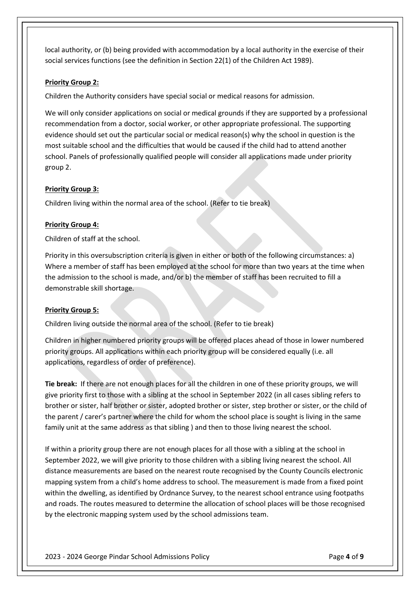local authority, or (b) being provided with accommodation by a local authority in the exercise of their social services functions (see the definition in Section 22(1) of the Children Act 1989).

#### **Priority Group 2:**

Children the Authority considers have special social or medical reasons for admission.

We will only consider applications on social or medical grounds if they are supported by a professional recommendation from a doctor, social worker, or other appropriate professional. The supporting evidence should set out the particular social or medical reason(s) why the school in question is the most suitable school and the difficulties that would be caused if the child had to attend another school. Panels of professionally qualified people will consider all applications made under priority group 2.

#### **Priority Group 3:**

Children living within the normal area of the school. (Refer to tie break)

#### **Priority Group 4:**

Children of staff at the school.

Priority in this oversubscription criteria is given in either or both of the following circumstances: a) Where a member of staff has been employed at the school for more than two years at the time when the admission to the school is made, and/or b) the member of staff has been recruited to fill a demonstrable skill shortage.

#### **Priority Group 5:**

Children living outside the normal area of the school. (Refer to tie break)

Children in higher numbered priority groups will be offered places ahead of those in lower numbered priority groups. All applications within each priority group will be considered equally (i.e. all applications, regardless of order of preference).

**Tie break:** If there are not enough places for all the children in one of these priority groups, we will give priority first to those with a sibling at the school in September 2022 (in all cases sibling refers to brother or sister, half brother or sister, adopted brother or sister, step brother or sister, or the child of the parent / carer's partner where the child for whom the school place is sought is living in the same family unit at the same address as that sibling ) and then to those living nearest the school.

If within a priority group there are not enough places for all those with a sibling at the school in September 2022, we will give priority to those children with a sibling living nearest the school. All distance measurements are based on the nearest route recognised by the County Councils electronic mapping system from a child's home address to school. The measurement is made from a fixed point within the dwelling, as identified by Ordnance Survey, to the nearest school entrance using footpaths and roads. The routes measured to determine the allocation of school places will be those recognised by the electronic mapping system used by the school admissions team.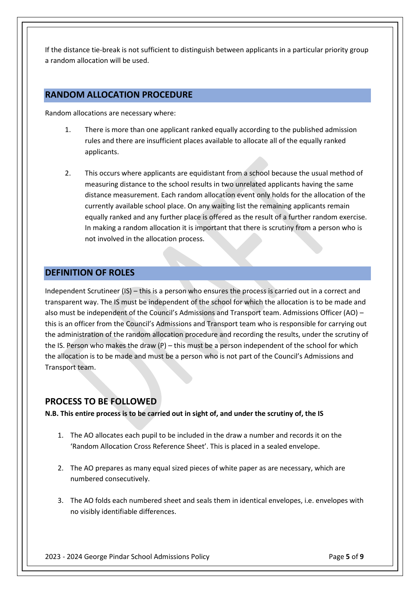If the distance tie-break is not sufficient to distinguish between applicants in a particular priority group a random allocation will be used.

# **RANDOM ALLOCATION PROCEDURE**

Random allocations are necessary where:

- 1. There is more than one applicant ranked equally according to the published admission rules and there are insufficient places available to allocate all of the equally ranked applicants.
- 2. This occurs where applicants are equidistant from a school because the usual method of measuring distance to the school results in two unrelated applicants having the same distance measurement. Each random allocation event only holds for the allocation of the currently available school place. On any waiting list the remaining applicants remain equally ranked and any further place is offered as the result of a further random exercise. In making a random allocation it is important that there is scrutiny from a person who is not involved in the allocation process.

# **DEFINITION OF ROLES**

Independent Scrutineer (IS) – this is a person who ensures the process is carried out in a correct and transparent way. The IS must be independent of the school for which the allocation is to be made and also must be independent of the Council's Admissions and Transport team. Admissions Officer (AO) – this is an officer from the Council's Admissions and Transport team who is responsible for carrying out the administration of the random allocation procedure and recording the results, under the scrutiny of the IS. Person who makes the draw (P) – this must be a person independent of the school for which the allocation is to be made and must be a person who is not part of the Council's Admissions and Transport team.

# **PROCESS TO BE FOLLOWED**

**N.B. This entire process is to be carried out in sight of, and under the scrutiny of, the IS** 

- 1. The AO allocates each pupil to be included in the draw a number and records it on the 'Random Allocation Cross Reference Sheet'. This is placed in a sealed envelope.
- 2. The AO prepares as many equal sized pieces of white paper as are necessary, which are numbered consecutively.
- 3. The AO folds each numbered sheet and seals them in identical envelopes, i.e. envelopes with no visibly identifiable differences.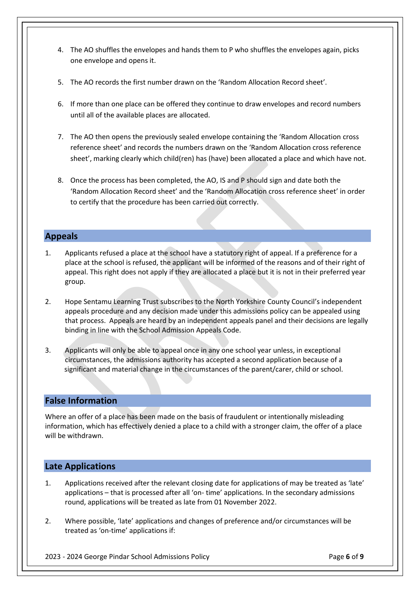- 4. The AO shuffles the envelopes and hands them to P who shuffles the envelopes again, picks one envelope and opens it.
- 5. The AO records the first number drawn on the 'Random Allocation Record sheet'.
- 6. If more than one place can be offered they continue to draw envelopes and record numbers until all of the available places are allocated.
- 7. The AO then opens the previously sealed envelope containing the 'Random Allocation cross reference sheet' and records the numbers drawn on the 'Random Allocation cross reference sheet', marking clearly which child(ren) has (have) been allocated a place and which have not.
- 8. Once the process has been completed, the AO, IS and P should sign and date both the 'Random Allocation Record sheet' and the 'Random Allocation cross reference sheet' in order to certify that the procedure has been carried out correctly.

# **Appeals**

- 1. Applicants refused a place at the school have a statutory right of appeal. If a preference for a place at the school is refused, the applicant will be informed of the reasons and of their right of appeal. This right does not apply if they are allocated a place but it is not in their preferred year group.
- 2. Hope Sentamu Learning Trust subscribes to the North Yorkshire County Council's independent appeals procedure and any decision made under this admissions policy can be appealed using that process. Appeals are heard by an independent appeals panel and their decisions are legally binding in line with the School Admission Appeals Code.
- 3. Applicants will only be able to appeal once in any one school year unless, in exceptional circumstances, the admissions authority has accepted a second application because of a significant and material change in the circumstances of the parent/carer, child or school.

# **False Information**

Where an offer of a place has been made on the basis of fraudulent or intentionally misleading information, which has effectively denied a place to a child with a stronger claim, the offer of a place will be withdrawn.

# **Late Applications**

- 1. Applications received after the relevant closing date for applications of may be treated as 'late' applications – that is processed after all 'on- time' applications. In the secondary admissions round, applications will be treated as late from 01 November 2022.
- 2. Where possible, 'late' applications and changes of preference and/or circumstances will be treated as 'on-time' applications if:

2023 - 2024 George Pindar School Admissions Policy Page **6** of **9**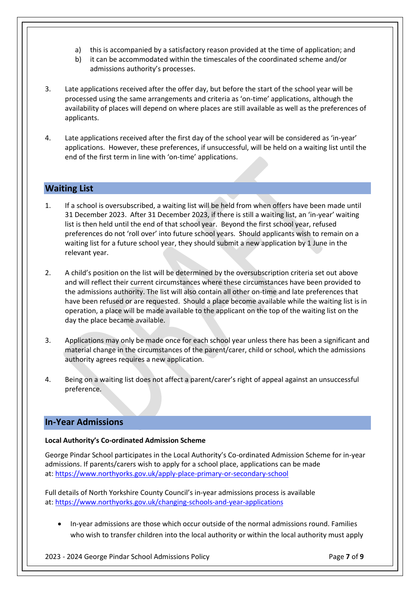- a) this is accompanied by a satisfactory reason provided at the time of application; and
- b) it can be accommodated within the timescales of the coordinated scheme and/or admissions authority's processes.
- 3. Late applications received after the offer day, but before the start of the school year will be processed using the same arrangements and criteria as 'on-time' applications, although the availability of places will depend on where places are still available as well as the preferences of applicants.
- 4. Late applications received after the first day of the school year will be considered as 'in-year' applications. However, these preferences, if unsuccessful, will be held on a waiting list until the end of the first term in line with 'on-time' applications.

# **Waiting List**

- 1. If a school is oversubscribed, a waiting list will be held from when offers have been made until 31 December 2023. After 31 December 2023, if there is still a waiting list, an 'in-year' waiting list is then held until the end of that school year. Beyond the first school year, refused preferences do not 'roll over' into future school years. Should applicants wish to remain on a waiting list for a future school year, they should submit a new application by 1 June in the relevant year.
- 2. A child's position on the list will be determined by the oversubscription criteria set out above and will reflect their current circumstances where these circumstances have been provided to the admissions authority. The list will also contain all other on-time and late preferences that have been refused or are requested. Should a place become available while the waiting list is in operation, a place will be made available to the applicant on the top of the waiting list on the day the place became available.
- 3. Applications may only be made once for each school year unless there has been a significant and material change in the circumstances of the parent/carer, child or school, which the admissions authority agrees requires a new application.
- 4. Being on a waiting list does not affect a parent/carer's right of appeal against an unsuccessful preference.

# **In-Year Admissions**

#### **Local Authority's Co-ordinated Admission Scheme**

George Pindar School participates in the Local Authority's Co-ordinated Admission Scheme for in-year admissions. If parents/carers wish to apply for a school place, applications can be made at: <https://www.northyorks.gov.uk/apply-place-primary-or-secondary-school>

Full details of North Yorkshire County Council's in-year admissions process is available at: <https://www.northyorks.gov.uk/changing-schools-and-year-applications>

 In-year admissions are those which occur outside of the normal admissions round. Families who wish to transfer children into the local authority or within the local authority must apply

2023 - 2024 George Pindar School Admissions Policy Page **7** of **9**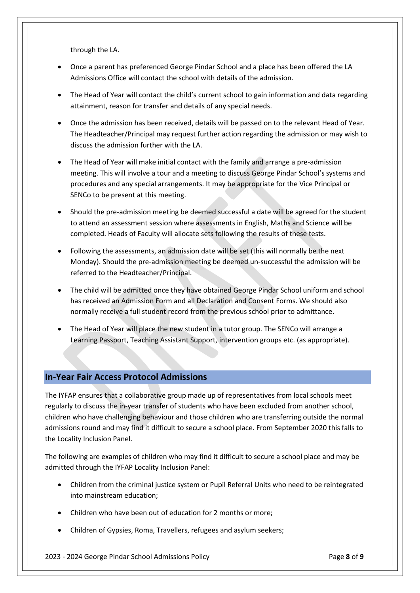through the LA.

- Once a parent has preferenced George Pindar School and a place has been offered the LA Admissions Office will contact the school with details of the admission.
- The Head of Year will contact the child's current school to gain information and data regarding attainment, reason for transfer and details of any special needs.
- Once the admission has been received, details will be passed on to the relevant Head of Year. The Headteacher/Principal may request further action regarding the admission or may wish to discuss the admission further with the LA.
- The Head of Year will make initial contact with the family and arrange a pre-admission meeting. This will involve a tour and a meeting to discuss George Pindar School's systems and procedures and any special arrangements. It may be appropriate for the Vice Principal or SENCo to be present at this meeting.
- Should the pre-admission meeting be deemed successful a date will be agreed for the student to attend an assessment session where assessments in English, Maths and Science will be completed. Heads of Faculty will allocate sets following the results of these tests.
- Following the assessments, an admission date will be set (this will normally be the next Monday). Should the pre-admission meeting be deemed un-successful the admission will be referred to the Headteacher/Principal.
- The child will be admitted once they have obtained George Pindar School uniform and school has received an Admission Form and all Declaration and Consent Forms. We should also normally receive a full student record from the previous school prior to admittance.
- The Head of Year will place the new student in a tutor group. The SENCo will arrange a Learning Passport, Teaching Assistant Support, intervention groups etc. (as appropriate).

# **In-Year Fair Access Protocol Admissions**

The IYFAP ensures that a collaborative group made up of representatives from local schools meet regularly to discuss the in-year transfer of students who have been excluded from another school, children who have challenging behaviour and those children who are transferring outside the normal admissions round and may find it difficult to secure a school place. From September 2020 this falls to the Locality Inclusion Panel.

The following are examples of children who may find it difficult to secure a school place and may be admitted through the IYFAP Locality Inclusion Panel:

- Children from the criminal justice system or Pupil Referral Units who need to be reintegrated into mainstream education;
- Children who have been out of education for 2 months or more;
- Children of Gypsies, Roma, Travellers, refugees and asylum seekers;